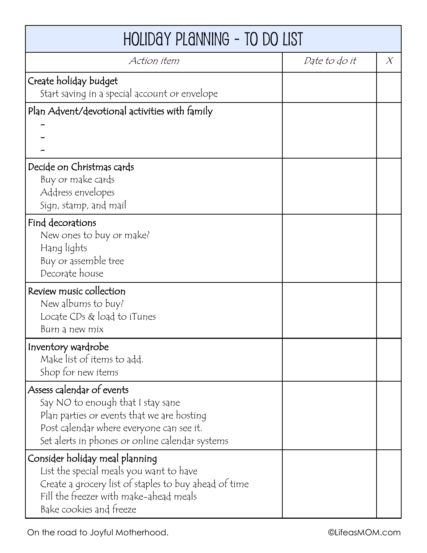| HOLIDAY PLANNING - TO DO LIST                                                                                                                                                                               |               |        |  |
|-------------------------------------------------------------------------------------------------------------------------------------------------------------------------------------------------------------|---------------|--------|--|
| Action item                                                                                                                                                                                                 | Date to do it | $\chi$ |  |
| Create holiday budget<br>Start saving in a special account or envelope                                                                                                                                      |               |        |  |
| Plan Advent/devotional activities with family                                                                                                                                                               |               |        |  |
|                                                                                                                                                                                                             |               |        |  |
| Decide on Christmas cards<br>Buy or make cards                                                                                                                                                              |               |        |  |
| Address envelopes<br>Sign, stamp, and mail                                                                                                                                                                  |               |        |  |
| Find decorations<br>New ones to buy or make?<br>Hang lights<br>Buy or assemble tree<br>Decorate house                                                                                                       |               |        |  |
| Review music collection<br>New albums to buy?<br>Locate $CDS & load$ to iTunes<br>Burn a new mix                                                                                                            |               |        |  |
| Inventory wardrobe<br>Make list of items to add.<br>Shop for new items                                                                                                                                      |               |        |  |
| Assess calendar of events<br>Say NO to enough that I stay sane<br>Plan parties or events that we are hosting<br>Post calendar where everyone can see it.<br>Set alerts in phones or online calendar systems |               |        |  |
| Consider holiday meal planning<br>List the special meals you want to have<br>Create a grocery list of staples to buy ahead of time<br>Fill the freezer with make-ahead meals<br>Bake cookies and freeze     |               |        |  |